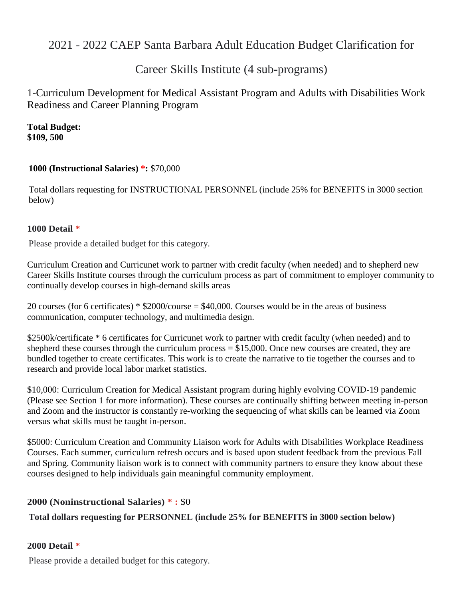# 2021 - 2022 CAEP Santa Barbara Adult Education Budget Clarification for

# Career Skills Institute (4 sub-programs)

# 1-Curriculum Development for Medical Assistant Program and Adults with Disabilities Work Readiness and Career Planning Program

**Total Budget: \$109, 500**

# **1000 (Instructional Salaries) \*:** \$70,000

Total dollars requesting for INSTRUCTIONAL PERSONNEL (include 25% for BENEFITS in 3000 section below)

# **1000 Detail \***

Please provide a detailed budget for this category.

Curriculum Creation and Curricunet work to partner with credit faculty (when needed) and to shepherd new Career Skills Institute courses through the curriculum process as part of commitment to employer community to continually develop courses in high-demand skills areas

20 courses (for 6 certificates) \* \$2000/course = \$40,000. Courses would be in the areas of business communication, computer technology, and multimedia design.

\$2500k/certificate \* 6 certificates for Curricunet work to partner with credit faculty (when needed) and to shepherd these courses through the curriculum process  $= $15,000$ . Once new courses are created, they are bundled together to create certificates. This work is to create the narrative to tie together the courses and to research and provide local labor market statistics.

\$10,000: Curriculum Creation for Medical Assistant program during highly evolving COVID-19 pandemic (Please see Section 1 for more information). These courses are continually shifting between meeting in-person and Zoom and the instructor is constantly re-working the sequencing of what skills can be learned via Zoom versus what skills must be taught in-person.

\$5000: Curriculum Creation and Community Liaison work for Adults with Disabilities Workplace Readiness Courses. Each summer, curriculum refresh occurs and is based upon student feedback from the previous Fall and Spring. Community liaison work is to connect with community partners to ensure they know about these courses designed to help individuals gain meaningful community employment.

# **2000 (Noninstructional Salaries) \* :** \$0

# **Total dollars requesting for PERSONNEL (include 25% for BENEFITS in 3000 section below)**

# **2000 Detail \***

Please provide a detailed budget for this category.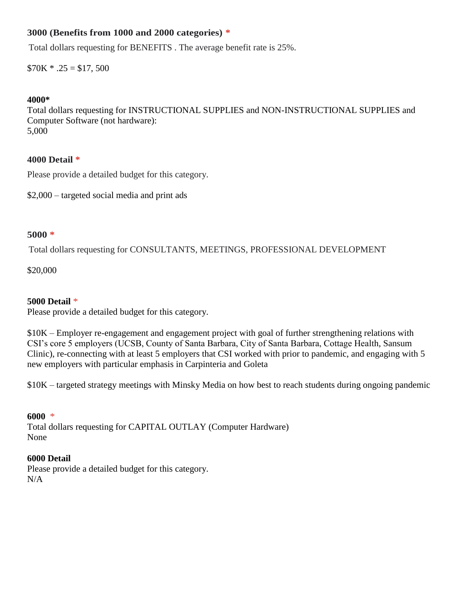# **3000 (Benefits from 1000 and 2000 categories) \***

Total dollars requesting for BENEFITS . The average benefit rate is 25%.

 $$70K * .25 = $17,500$ 

# **4000\***

Total dollars requesting for INSTRUCTIONAL SUPPLIES and NON-INSTRUCTIONAL SUPPLIES and Computer Software (not hardware): 5,000

# **4000 Detail \***

Please provide a detailed budget for this category.

\$2,000 – targeted social media and print ads

## **5000 \***

Total dollars requesting for CONSULTANTS, MEETINGS, PROFESSIONAL DEVELOPMENT

\$20,000

# **5000 Detail** \*

Please provide a detailed budget for this category.

\$10K – Employer re-engagement and engagement project with goal of further strengthening relations with CSI's core 5 employers (UCSB, County of Santa Barbara, City of Santa Barbara, Cottage Health, Sansum Clinic), re-connecting with at least 5 employers that CSI worked with prior to pandemic, and engaging with 5 new employers with particular emphasis in Carpinteria and Goleta

\$10K – targeted strategy meetings with Minsky Media on how best to reach students during ongoing pandemic

## **6000** \*

Total dollars requesting for CAPITAL OUTLAY (Computer Hardware) None

## **6000 Detail**

Please provide a detailed budget for this category. N/A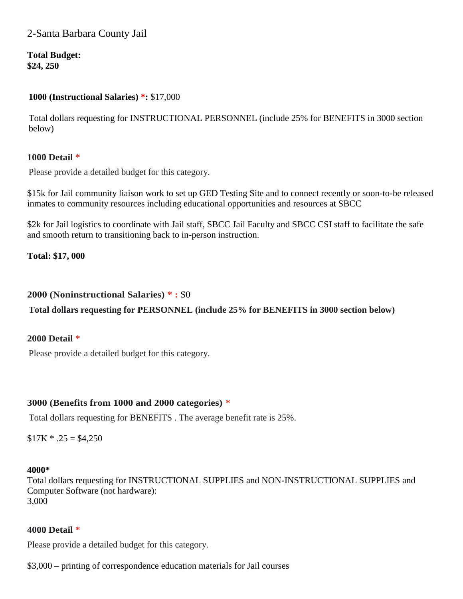# 2-Santa Barbara County Jail

**Total Budget: \$24, 250**

## **1000 (Instructional Salaries) \*:** \$17,000

Total dollars requesting for INSTRUCTIONAL PERSONNEL (include 25% for BENEFITS in 3000 section below)

# **1000 Detail \***

Please provide a detailed budget for this category.

\$15k for Jail community liaison work to set up GED Testing Site and to connect recently or soon-to-be released inmates to community resources including educational opportunities and resources at SBCC

\$2k for Jail logistics to coordinate with Jail staff, SBCC Jail Faculty and SBCC CSI staff to facilitate the safe and smooth return to transitioning back to in-person instruction.

**Total: \$17, 000**

### **2000 (Noninstructional Salaries) \* :** \$0

**Total dollars requesting for PERSONNEL (include 25% for BENEFITS in 3000 section below)**

## **2000 Detail \***

Please provide a detailed budget for this category.

## **3000 (Benefits from 1000 and 2000 categories) \***

Total dollars requesting for BENEFITS . The average benefit rate is 25%.

 $$17K * .25 = $4,250$ 

#### **4000\***

Total dollars requesting for INSTRUCTIONAL SUPPLIES and NON-INSTRUCTIONAL SUPPLIES and Computer Software (not hardware): 3,000

## **4000 Detail \***

Please provide a detailed budget for this category.

\$3,000 – printing of correspondence education materials for Jail courses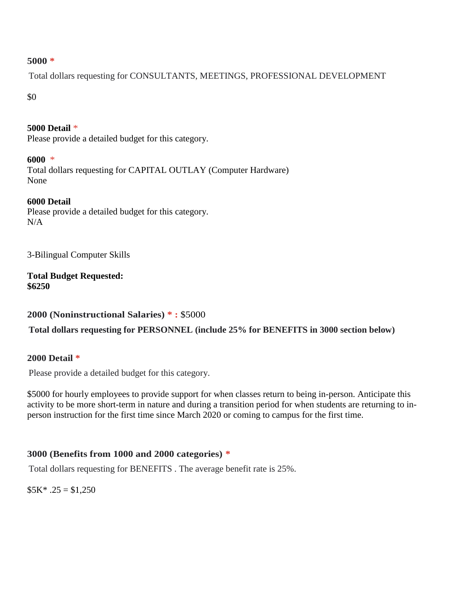## **5000 \***

Total dollars requesting for CONSULTANTS, MEETINGS, PROFESSIONAL DEVELOPMENT

\$0

**5000 Detail** \* Please provide a detailed budget for this category.

**6000** \* Total dollars requesting for CAPITAL OUTLAY (Computer Hardware) None

# **6000 Detail**

Please provide a detailed budget for this category.  $N/A$ 

3-Bilingual Computer Skills

**Total Budget Requested: \$6250**

**2000 (Noninstructional Salaries) \* :** \$5000

**Total dollars requesting for PERSONNEL (include 25% for BENEFITS in 3000 section below)**

# **2000 Detail \***

Please provide a detailed budget for this category.

\$5000 for hourly employees to provide support for when classes return to being in-person. Anticipate this activity to be more short-term in nature and during a transition period for when students are returning to inperson instruction for the first time since March 2020 or coming to campus for the first time.

# **3000 (Benefits from 1000 and 2000 categories) \***

Total dollars requesting for BENEFITS . The average benefit rate is 25%.

 $$5K^*$ .25 = \$1,250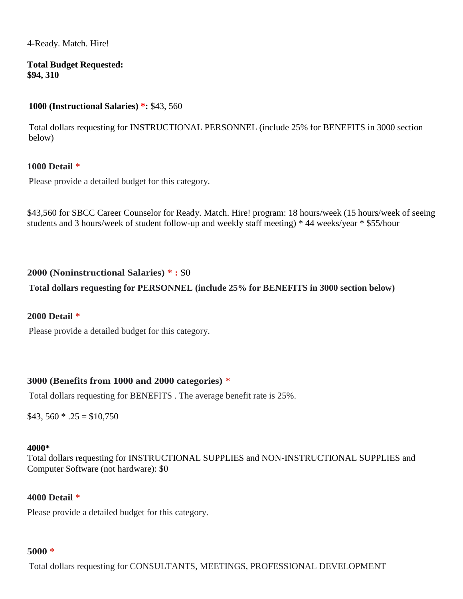4-Ready. Match. Hire!

**Total Budget Requested: \$94, 310**

# **1000 (Instructional Salaries) \*:** \$43, 560

Total dollars requesting for INSTRUCTIONAL PERSONNEL (include 25% for BENEFITS in 3000 section below)

# **1000 Detail \***

Please provide a detailed budget for this category.

\$43,560 for SBCC Career Counselor for Ready. Match. Hire! program: 18 hours/week (15 hours/week of seeing students and 3 hours/week of student follow-up and weekly staff meeting) \* 44 weeks/year \* \$55/hour

# **2000 (Noninstructional Salaries) \* :** \$0

# **Total dollars requesting for PERSONNEL (include 25% for BENEFITS in 3000 section below)**

## **2000 Detail \***

Please provide a detailed budget for this category.

## **3000 (Benefits from 1000 and 2000 categories) \***

Total dollars requesting for BENEFITS . The average benefit rate is 25%.

 $$43, 560 * .25 = $10,750$ 

## **4000\***

Total dollars requesting for INSTRUCTIONAL SUPPLIES and NON-INSTRUCTIONAL SUPPLIES and Computer Software (not hardware): \$0

## **4000 Detail \***

Please provide a detailed budget for this category.

#### **5000 \***

Total dollars requesting for CONSULTANTS, MEETINGS, PROFESSIONAL DEVELOPMENT